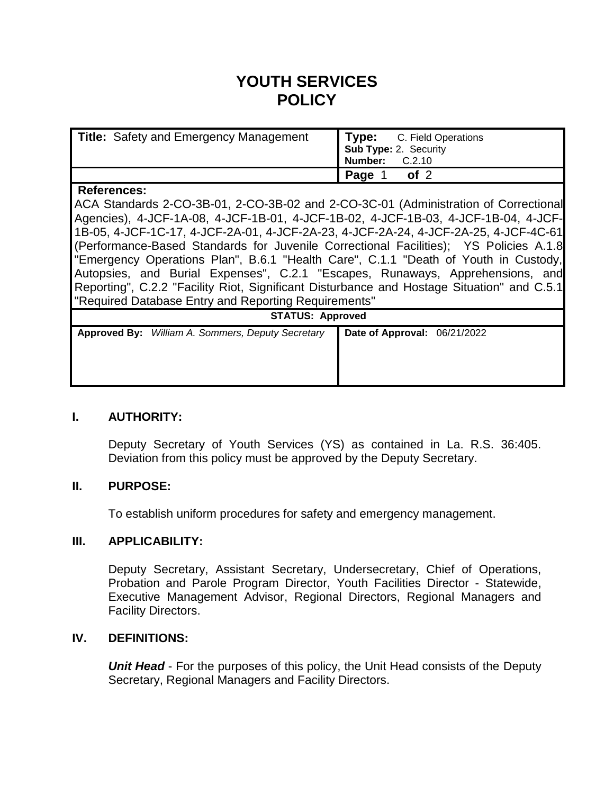# **YOUTH SERVICES POLICY**

| <b>Title:</b> Safety and Emergency Management                                                                                                                                                                                                                                                                                                                                                                                                                                                                                                                                                                                                                                           | Type:<br>C. Field Operations<br><b>Sub Type: 2. Security</b><br><b>Number: C.2.10</b> |
|-----------------------------------------------------------------------------------------------------------------------------------------------------------------------------------------------------------------------------------------------------------------------------------------------------------------------------------------------------------------------------------------------------------------------------------------------------------------------------------------------------------------------------------------------------------------------------------------------------------------------------------------------------------------------------------------|---------------------------------------------------------------------------------------|
|                                                                                                                                                                                                                                                                                                                                                                                                                                                                                                                                                                                                                                                                                         | of 2<br>Page 1                                                                        |
| <b>References:</b>                                                                                                                                                                                                                                                                                                                                                                                                                                                                                                                                                                                                                                                                      |                                                                                       |
| ACA Standards 2-CO-3B-01, 2-CO-3B-02 and 2-CO-3C-01 (Administration of Correctional<br>Agencies), 4-JCF-1A-08, 4-JCF-1B-01, 4-JCF-1B-02, 4-JCF-1B-03, 4-JCF-1B-04, 4-JCF-<br>1B-05, 4-JCF-1C-17, 4-JCF-2A-01, 4-JCF-2A-23, 4-JCF-2A-24, 4-JCF-2A-25, 4-JCF-4C-61<br>(Performance-Based Standards for Juvenile Correctional Facilities); YS Policies A.1.8<br>"Emergency Operations Plan", B.6.1 "Health Care", C.1.1 "Death of Youth in Custody,<br>Autopsies, and Burial Expenses", C.2.1 "Escapes, Runaways, Apprehensions, and<br>Reporting", C.2.2 "Facility Riot, Significant Disturbance and Hostage Situation" and C.5.1<br>"Required Database Entry and Reporting Requirements" |                                                                                       |
| <b>STATUS: Approved</b>                                                                                                                                                                                                                                                                                                                                                                                                                                                                                                                                                                                                                                                                 |                                                                                       |
| Approved By: William A. Sommers, Deputy Secretary                                                                                                                                                                                                                                                                                                                                                                                                                                                                                                                                                                                                                                       | Date of Approval: 06/21/2022                                                          |
|                                                                                                                                                                                                                                                                                                                                                                                                                                                                                                                                                                                                                                                                                         |                                                                                       |

### **I. AUTHORITY:**

Deputy Secretary of Youth Services (YS) as contained in La. R.S. 36:405. Deviation from this policy must be approved by the Deputy Secretary.

#### **II. PURPOSE:**

To establish uniform procedures for safety and emergency management.

#### **III. APPLICABILITY:**

Deputy Secretary, Assistant Secretary, Undersecretary, Chief of Operations, Probation and Parole Program Director, Youth Facilities Director - Statewide, Executive Management Advisor, Regional Directors, Regional Managers and Facility Directors.

#### **IV. DEFINITIONS:**

**Unit Head** - For the purposes of this policy, the Unit Head consists of the Deputy Secretary, Regional Managers and Facility Directors.